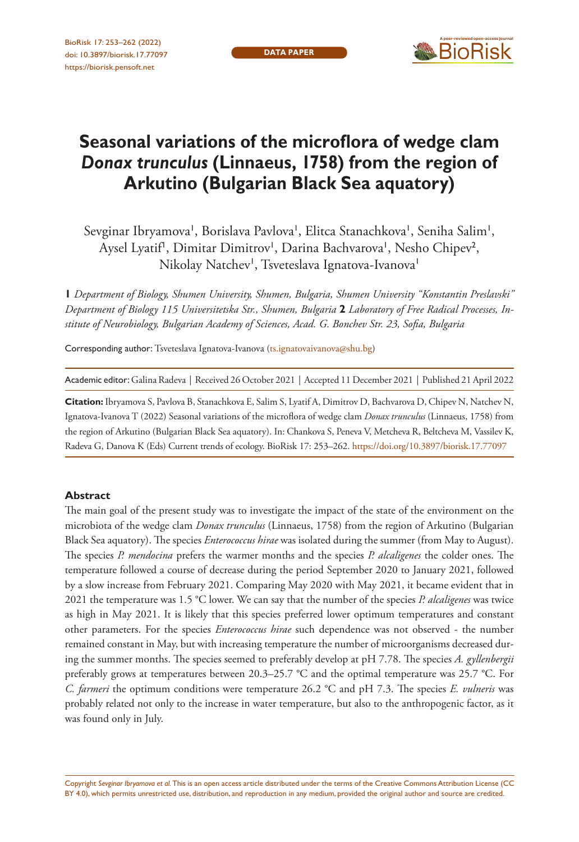

# **Seasonal variations of the microflora of wedge clam**  *Donax trunculus* **(Linnaeus, 1758) from the region of Arkutino (Bulgarian Black Sea aquatory)**

Sevginar Ibryamova', Borislava Pavlova', Elitca Stanachkova', Seniha Salim', Aysel Lyatif<sup>1</sup>, Dimitar Dimitrov', Darina Bachvarova', Nesho Chipev<sup>2</sup>, Nikolay Natchev<sup>i</sup>, Tsveteslava Ignatova-Ivanova<sup>i</sup>

**1** *Department of Biology, Shumen University, Shumen, Bulgaria, Shumen University "Konstantin Preslavski" Department of Biology 115 Universitetska Str., Shumen, Bulgaria* **2** *Laboratory of Free Radical Processes, Institute of Neurobiology, Bulgarian Academy of Sciences, Acad. G. Bonchev Str. 23, Sofia, Bulgaria*

Corresponding author: Tsveteslava Ignatova-Ivanova [\(ts.ignatovaivanova@shu.bg\)](mailto:ts.ignatovaivanova@shu.bg)

Academic editor: Galina Radeva | Received 26 October 2021 | Accepted 11 December 2021 | Published 21 April 2022

**Citation:** Ibryamova S, Pavlova B, Stanachkova E, Salim S, Lyatif A, Dimitrov D, Bachvarova D, Chipev N, Natchev N, Ignatova-Ivanova T (2022) Seasonal variations of the microflora of wedge clam *Donax trunculus* (Linnaeus, 1758) from the region of Arkutino (Bulgarian Black Sea aquatory). In: Chankova S, Peneva V, Metcheva R, Beltcheva M, Vassilev K, Radeva G, Danova K (Eds) Current trends of ecology. BioRisk 17: 253–262. <https://doi.org/10.3897/biorisk.17.77097>

#### **Abstract**

The main goal of the present study was to investigate the impact of the state of the environment on the microbiota of the wedge clam *Donax trunculus* (Linnaeus, 1758) from the region of Arkutino (Bulgarian Black Sea aquatory). The species *Enterococcus hirae* was isolated during the summer (from May to August). The species *P. mendocina* prefers the warmer months and the species *P. alcaligenes* the colder ones. The temperature followed a course of decrease during the period September 2020 to January 2021, followed by a slow increase from February 2021. Comparing May 2020 with May 2021, it became evident that in 2021 the temperature was 1.5 °C lower. We can say that the number of the species *P. alcaligenes* was twice as high in May 2021. It is likely that this species preferred lower optimum temperatures and constant other parameters. For the species *Enterococcus hirae* such dependence was not observed - the number remained constant in May, but with increasing temperature the number of microorganisms decreased during the summer months. The species seemed to preferably develop at pH 7.78. The species *A. gyllenbergii* preferably grows at temperatures between 20.3–25.7 °C and the optimal temperature was 25.7 °C. For *C. farmeri* the optimum conditions were temperature 26.2 °C and pH 7.3. The species *E. vulneris* was probably related not only to the increase in water temperature, but also to the anthropogenic factor, as it was found only in July.

Copyright *Sevginar Ibryamova et al.* This is an open access article distributed under the terms of the [Creative Commons Attribution License \(CC](http://creativecommons.org/licenses/by/4.0/)  [BY 4.0\)](http://creativecommons.org/licenses/by/4.0/), which permits unrestricted use, distribution, and reproduction in any medium, provided the original author and source are credited.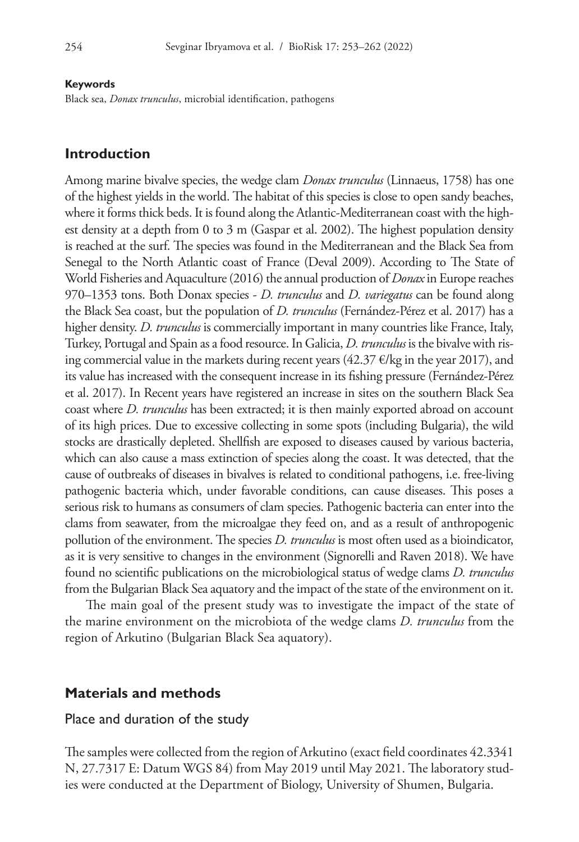#### **Keywords**

Black sea, *Donax trunculus*, microbial identification, pathogens

#### **Introduction**

Among marine bivalve species, the wedge clam *Donax trunculus* (Linnaeus, 1758) has one of the highest yields in the world. The habitat of this species is close to open sandy beaches, where it forms thick beds. It is found along the Atlantic-Mediterranean coast with the highest density at a depth from 0 to 3 m (Gaspar et al. 2002). The highest population density is reached at the surf. The species was found in the Mediterranean and the Black Sea from Senegal to the North Atlantic coast of France (Deval 2009). According to The State of World Fisheries and Aquaculture (2016) the annual production of *Donax* in Europe reaches 970–1353 tons. Both Donax species - *D. trunculus* and *D. variegatus* can be found along the Black Sea coast, but the population of *D. trunculus* (Fernández-Pérez et al. 2017) has a higher density. *D. trunculus* is commercially important in many countries like France, Italy, Turkey, Portugal and Spain as a food resource. In Galicia, *D. trunculus* is the bivalve with rising commercial value in the markets during recent years  $(42.37 \epsilon/\text{kg})$  in the year 2017), and its value has increased with the consequent increase in its fishing pressure (Fernández-Pérez et al. 2017). In Recent years have registered an increase in sites on the southern Black Sea coast where *D. trunculus* has been extracted; it is then mainly exported abroad on account of its high prices. Due to excessive collecting in some spots (including Bulgaria), the wild stocks are drastically depleted. Shellfish are exposed to diseases caused by various bacteria, which can also cause a mass extinction of species along the coast. It was detected, that the cause of outbreaks of diseases in bivalves is related to conditional pathogens, i.e. free-living pathogenic bacteria which, under favorable conditions, can cause diseases. This poses a serious risk to humans as consumers of clam species. Pathogenic bacteria can enter into the clams from seawater, from the microalgae they feed on, and as a result of anthropogenic pollution of the environment. The species *D. trunculus* is most often used as a bioindicator, as it is very sensitive to changes in the environment (Signorelli and Raven 2018). We have found no scientific publications on the microbiological status of wedge clams *D. trunculus* from the Bulgarian Black Sea aquatory and the impact of the state of the environment on it.

The main goal of the present study was to investigate the impact of the state of the marine environment on the microbiota of the wedge clams *D. trunculus* from the region of Arkutino (Bulgarian Black Sea aquatory).

#### **Materials and methods**

#### Place and duration of the study

The samples were collected from the region of Arkutino (exact field coordinates 42.3341 N, 27.7317 E: Datum WGS 84) from May 2019 until May 2021. The laboratory studies were conducted at the Department of Biology, University of Shumen, Bulgaria.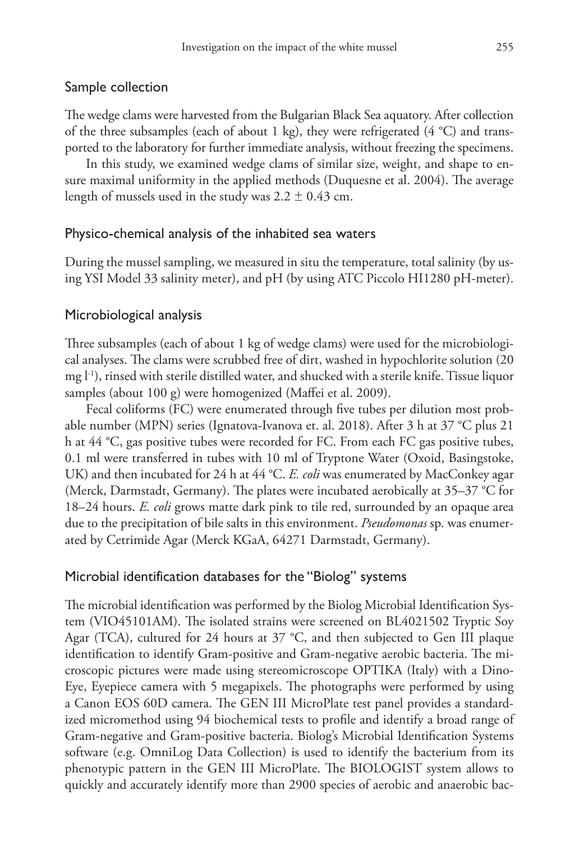### Sample collection

The wedge clams were harvested from the Bulgarian Black Sea aquatory. After collection of the three subsamples (each of about 1 kg), they were refrigerated (4 °C) and transported to the laboratory for further immediate analysis, without freezing the specimens.

In this study, we examined wedge clams of similar size, weight, and shape to ensure maximal uniformity in the applied methods (Duquesne et al. 2004). The average length of mussels used in the study was  $2.2 \pm 0.43$  cm.

### Physico-chemical analysis of the inhabited sea waters

During the mussel sampling, we measured in situ the temperature, total salinity (by using YSI Model 33 salinity meter), and pH (by using ATC Piccolo HI1280 pH-meter).

#### Microbiological analysis

Three subsamples (each of about 1 kg of wedge clams) were used for the microbiological analyses. The clams were scrubbed free of dirt, washed in hypochlorite solution (20 mg l-1), rinsed with sterile distilled water, and shucked with a sterile knife. Tissue liquor samples (about 100 g) were homogenized (Maffei et al. 2009).

Fecal coliforms (FC) were enumerated through five tubes per dilution most probable number (MPN) series (Ignatova-Ivanova et. al. 2018). After 3 h at 37 °C plus 21 h at 44 °C, gas positive tubes were recorded for FC. From each FC gas positive tubes, 0.1 ml were transferred in tubes with 10 ml of Tryptone Water (Oxoid, Basingstoke, UK) and then incubated for 24 h at 44 °C. *E. coli* was enumerated by MacConkey agar (Merck, Darmstadt, Germany). The plates were incubated aerobically at 35–37 °C for 18–24 hours. *E. coli* grows matte dark pink to tile red, surrounded by an opaque area due to the precipitation of bile salts in this environment. *Pseudomonas* sp. was enumerated by Cetrimide Agar (Merck KGaA, 64271 Darmstadt, Germany).

#### Microbial identification databases for the "Biolog" systems

The microbial identification was performed by the Biolog Microbial Identification System (VIO45101AM). The isolated strains were screened on BL4021502 Tryptic Soy Agar (TCA), cultured for 24 hours at 37 °C, and then subjected to Gen III plaque identification to identify Gram-positive and Gram-negative aerobic bacteria. The microscopic pictures were made using stereomicroscope OPTIKA (Italy) with a Dino-Eye, Eyepiece camera with 5 megapixels. The photographs were performed by using a Canon EOS 60D camera. The GEN III MicroPlate test panel provides a standardized micromethod using 94 biochemical tests to profile and identify a broad range of Gram-negative and Gram-positive bacteria. Biolog's Microbial Identification Systems software (e.g. OmniLog Data Collection) is used to identify the bacterium from its phenotypic pattern in the GEN III MicroPlate. The BIOLOGIST system allows to quickly and accurately identify more than 2900 species of aerobic and anaerobic bac-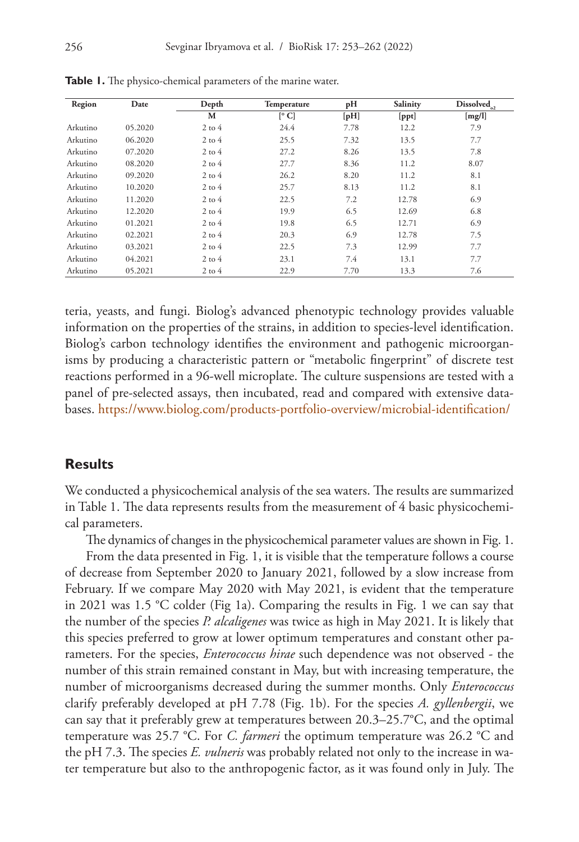| Region   | Date    | Depth      | Temperature | pH   | Salinity | $Dis solved_{_{02}}$ |
|----------|---------|------------|-------------|------|----------|----------------------|
|          |         | М          | [°C]        | [pH] | [ppt]    | [mg/l]               |
| Arkutino | 05.2020 | $2$ to $4$ | 24.4        | 7.78 | 12.2     | 7.9                  |
| Arkutino | 06.2020 | $2$ to $4$ | 25.5        | 7.32 | 13.5     | 7.7                  |
| Arkutino | 07.2020 | $2$ to $4$ | 27.2        | 8.26 | 13.5     | 7.8                  |
| Arkutino | 08.2020 | $2$ to $4$ | 27.7        | 8.36 | 11.2     | 8.07                 |
| Arkutino | 09.2020 | $2$ to $4$ | 26.2        | 8.20 | 11.2     | 8.1                  |
| Arkutino | 10.2020 | $2$ to $4$ | 25.7        | 8.13 | 11.2     | 8.1                  |
| Arkutino | 11.2020 | $2$ to $4$ | 22.5        | 7.2  | 12.78    | 6.9                  |
| Arkutino | 12.2020 | $2$ to $4$ | 19.9        | 6.5  | 12.69    | 6.8                  |
| Arkutino | 01.2021 | $2$ to $4$ | 19.8        | 6.5  | 12.71    | 6.9                  |
| Arkutino | 02.2021 | $2$ to $4$ | 20.3        | 6.9  | 12.78    | 7.5                  |
| Arkutino | 03.2021 | $2$ to $4$ | 22.5        | 7.3  | 12.99    | 7.7                  |
| Arkutino | 04.2021 | $2$ to $4$ | 23.1        | 7.4  | 13.1     | 7.7                  |
| Arkutino | 05.2021 | $2$ to $4$ | 22.9        | 7.70 | 13.3     | 7.6                  |

**Table 1.** The physico-chemical parameters of the marine water.

teria, yeasts, and fungi. Biolog's advanced phenotypic technology provides valuable information on the properties of the strains, in addition to species-level identification. Biolog's carbon technology identifies the environment and pathogenic microorganisms by producing a characteristic pattern or "metabolic fingerprint" of discrete test reactions performed in a 96-well microplate. The culture suspensions are tested with a panel of pre-selected assays, then incubated, read and compared with extensive databases.<https://www.biolog.com/products-portfolio-overview/microbial-identification/>

#### **Results**

We conducted a physicochemical analysis of the sea waters. The results are summarized in Table 1. The data represents results from the measurement of 4 basic physicochemical parameters.

The dynamics of changes in the physicochemical parameter values are shown in Fig. 1.

From the data presented in Fig. 1, it is visible that the temperature follows a course of decrease from September 2020 to January 2021, followed by a slow increase from February. If we compare May 2020 with May 2021, is evident that the temperature in 2021 was 1.5 °C colder (Fig 1a). Comparing the results in Fig. 1 we can say that the number of the species *P. alcaligenes* was twice as high in May 2021. It is likely that this species preferred to grow at lower optimum temperatures and constant other parameters. For the species, *Enterococcus hirae* such dependence was not observed - the number of this strain remained constant in May, but with increasing temperature, the number of microorganisms decreased during the summer months. Only *Enterococcus* clarify preferably developed at pH 7.78 (Fig. 1b). For the species *A. gyllenbergii*, we can say that it preferably grew at temperatures between 20.3–25.7°C, and the optimal temperature was 25.7 °C. For *C. farmeri* the optimum temperature was 26.2 °C and the pH 7.3. The species *E. vulneris* was probably related not only to the increase in water temperature but also to the anthropogenic factor, as it was found only in July. The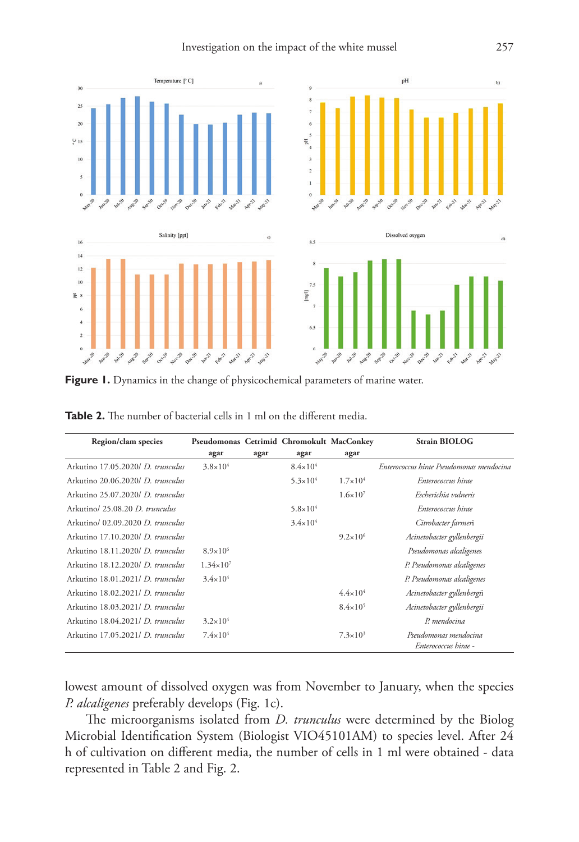

Figure 1. Dynamics in the change of physicochemical parameters of marine water.

| Region/clam species               | Pseudomonas Cetrimid Chromokult MacConkey |      |                     |                     | <b>Strain BIOLOG</b>                          |
|-----------------------------------|-------------------------------------------|------|---------------------|---------------------|-----------------------------------------------|
|                                   | agar                                      | agar | agar                | agar                |                                               |
| Arkutino 17.05.2020/ D. trunculus | $3.8 \times 10^{4}$                       |      | $8.4 \times 10^{4}$ |                     | Enterococcus hirae Pseudomonas mendocina      |
| Arkutino 20.06.2020/ D. trunculus |                                           |      | $5.3 \times 10^{4}$ | $1.7 \times 10^{4}$ | Enterococcus hirae                            |
| Arkutino 25.07.2020/ D. trunculus |                                           |      |                     | $1.6 \times 10^{7}$ | Escherichia vulneris                          |
| Arkutino/ 25.08.20 D. trunculus   |                                           |      | $5.8 \times 10^{4}$ |                     | Enterococcus hirae                            |
| Arkutino/ 02.09.2020 D. trunculus |                                           |      | $3.4 \times 10^{4}$ |                     | Citrobacter farmeri                           |
| Arkutino 17.10.2020/ D. trunculus |                                           |      |                     | $9.2 \times 10^6$   | Acinetobacter gyllenbergii                    |
| Arkutino 18.11.2020/ D. trunculus | $8.9 \times 10^{6}$                       |      |                     |                     | Pseudomonas alcaligenes                       |
| Arkutino 18.12.2020/ D. trunculus | $1.34 \times 10^{7}$                      |      |                     |                     | P. Pseudomonas alcaligenes                    |
| Arkutino 18.01.2021/ D. trunculus | $3.4 \times 10^{4}$                       |      |                     |                     | P. Pseudomonas alcaligenes                    |
| Arkutino 18.02.2021/ D. trunculus |                                           |      |                     | $4.4 \times 10^{4}$ | Acinetobacter gyllenbergii                    |
| Arkutino 18.03.2021/ D. trunculus |                                           |      |                     | $8.4 \times 10^{5}$ | Acinetobacter gyllenbergii                    |
| Arkutino 18.04.2021/ D. trunculus | $3.2 \times 10^{4}$                       |      |                     |                     | P. mendocina                                  |
| Arkutino 17.05.2021/ D. trunculus | $7.4 \times 10^4$                         |      |                     | $7.3 \times 10^3$   | Pseudomonas mendocina<br>Enterococcus hirae - |

**Table 2.** The number of bacterial cells in 1 ml on the different media.

lowest amount of dissolved oxygen was from November to January, when the species *P. alcaligenes* preferably develops (Fig. 1c).

The microorganisms isolated from *D. trunculus* were determined by the Biolog Microbial Identification System (Biologist VIO45101AM) to species level. After 24 h of cultivation on different media, the number of cells in 1 ml were obtained - data represented in Table 2 and Fig. 2.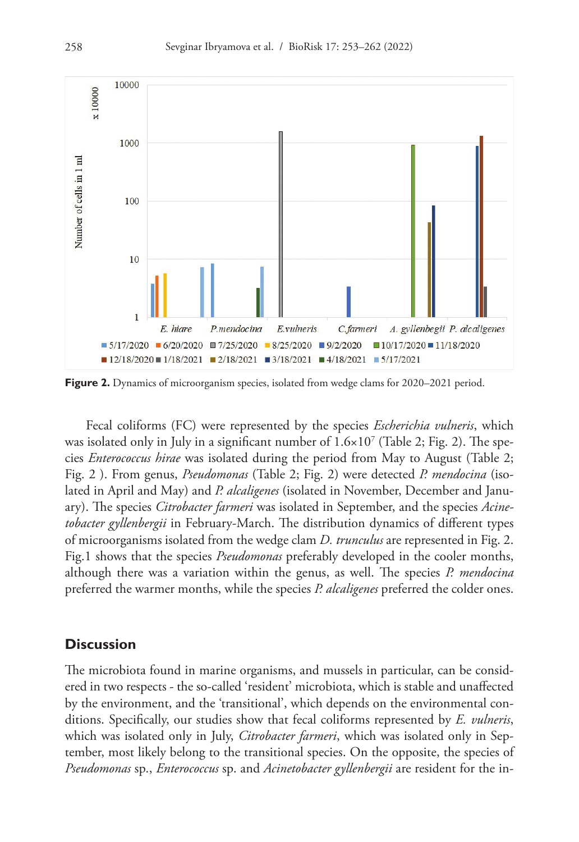

**Figure 2.** Dynamics of microorganism species, isolated from wedge clams for 2020–2021 period.

Fecal coliforms (FC) were represented by the species *Escherichia vulneris*, which was isolated only in July in a significant number of  $1.6 \times 10^7$  (Table 2; Fig. 2). The species *Enterococcus hirae* was isolated during the period from May to August (Table 2; Fig. 2 ). From genus, *Pseudomonas* (Table 2; Fig. 2) were detected *P. mendocina* (isolated in April and May) and *P. alcaligenes* (isolated in November, December and January). The species *Citrobacter farmeri* was isolated in September, and the species *Acinetobacter gyllenbergii* in February-March. The distribution dynamics of different types of microorganisms isolated from the wedge clam *D. trunculus* are represented in Fig. 2. Fig.1 shows that the species *Pseudomonas* preferably developed in the cooler months, although there was a variation within the genus, as well. The species *P. mendocina* preferred the warmer months, while the species *P. alcaligenes* preferred the colder ones.

### **Discussion**

The microbiota found in marine organisms, and mussels in particular, can be considered in two respects - the so-called 'resident' microbiota, which is stable and unaffected by the environment, and the 'transitional', which depends on the environmental conditions. Specifically, our studies show that fecal coliforms represented by *E. vulneris*, which was isolated only in July, *Citrobacter farmeri*, which was isolated only in September, most likely belong to the transitional species. On the opposite, the species of *Pseudomonas* sp., *Enterococcus* sp. and *Acinetobacter gyllenbergii* are resident for the in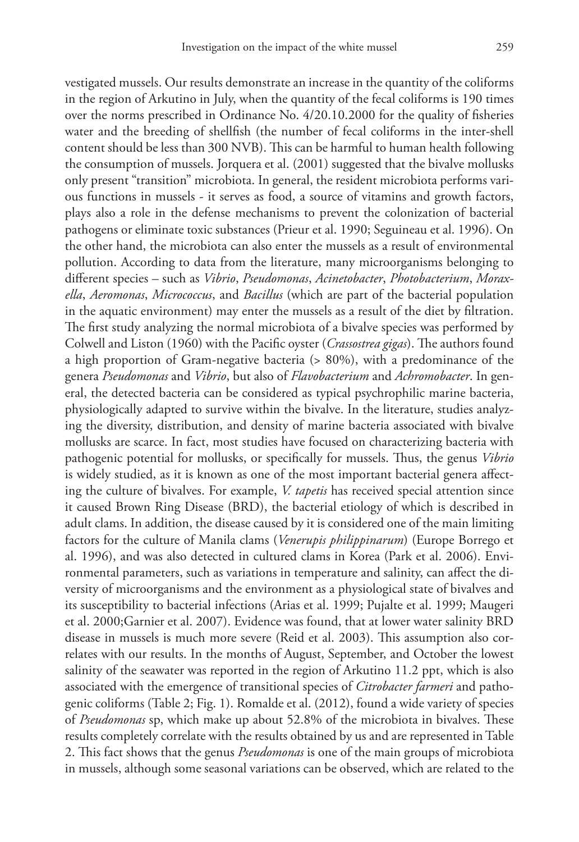vestigated mussels. Our results demonstrate an increase in the quantity of the coliforms in the region of Arkutino in July, when the quantity of the fecal coliforms is 190 times over the norms prescribed in Ordinance No. 4/20.10.2000 for the quality of fisheries water and the breeding of shellfish (the number of fecal coliforms in the inter-shell content should be less than 300 NVB). This can be harmful to human health following the consumption of mussels. Jorquera et al. (2001) suggested that the bivalve mollusks only present "transition" microbiota. In general, the resident microbiota performs various functions in mussels - it serves as food, a source of vitamins and growth factors, plays also a role in the defense mechanisms to prevent the colonization of bacterial pathogens or eliminate toxic substances (Prieur et al. 1990; Seguineau et al. 1996). On the other hand, the microbiota can also enter the mussels as a result of environmental pollution. According to data from the literature, many microorganisms belonging to different species – such as *Vibrio*, *Pseudomonas*, *Acinetobacter*, *Photobacterium*, *Moraxella*, *Aeromonas*, *Micrococcus*, and *Bacillus* (which are part of the bacterial population in the aquatic environment) may enter the mussels as a result of the diet by filtration. The first study analyzing the normal microbiota of a bivalve species was performed by Colwell and Liston (1960) with the Pacific oyster (*Crassostrea gigas*). The authors found a high proportion of Gram-negative bacteria (> 80%), with a predominance of the genera *Pseudomonas* and *Vibrio*, but also of *Flavobacterium* and *Achromobacter*. In general, the detected bacteria can be considered as typical psychrophilic marine bacteria, physiologically adapted to survive within the bivalve. In the literature, studies analyzing the diversity, distribution, and density of marine bacteria associated with bivalve mollusks are scarce. In fact, most studies have focused on characterizing bacteria with pathogenic potential for mollusks, or specifically for mussels. Thus, the genus *Vibrio* is widely studied, as it is known as one of the most important bacterial genera affecting the culture of bivalves. For example, *V. tapetis* has received special attention since it caused Brown Ring Disease (BRD), the bacterial etiology of which is described in adult clams. In addition, the disease caused by it is considered one of the main limiting factors for the culture of Manila clams (*Venerupis philippinarum*) (Europe Borrego et al. 1996), and was also detected in cultured clams in Korea (Park et al. 2006). Environmental parameters, such as variations in temperature and salinity, can affect the diversity of microorganisms and the environment as a physiological state of bivalves and its susceptibility to bacterial infections (Arias et al. 1999; Pujalte et al. 1999; Maugeri et al. 2000;Garnier et al. 2007). Evidence was found, that at lower water salinity BRD disease in mussels is much more severe (Reid et al. 2003). This assumption also correlates with our results. In the months of August, September, and October the lowest salinity of the seawater was reported in the region of Arkutino 11.2 ppt, which is also associated with the emergence of transitional species of *Citrobacter farmeri* and pathogenic coliforms (Table 2; Fig. 1). Romalde et al. (2012), found a wide variety of species of *Pseudomonas* sp, which make up about 52.8% of the microbiota in bivalves. These results completely correlate with the results obtained by us and are represented in Table 2. This fact shows that the genus *Pseudomonas* is one of the main groups of microbiota in mussels, although some seasonal variations can be observed, which are related to the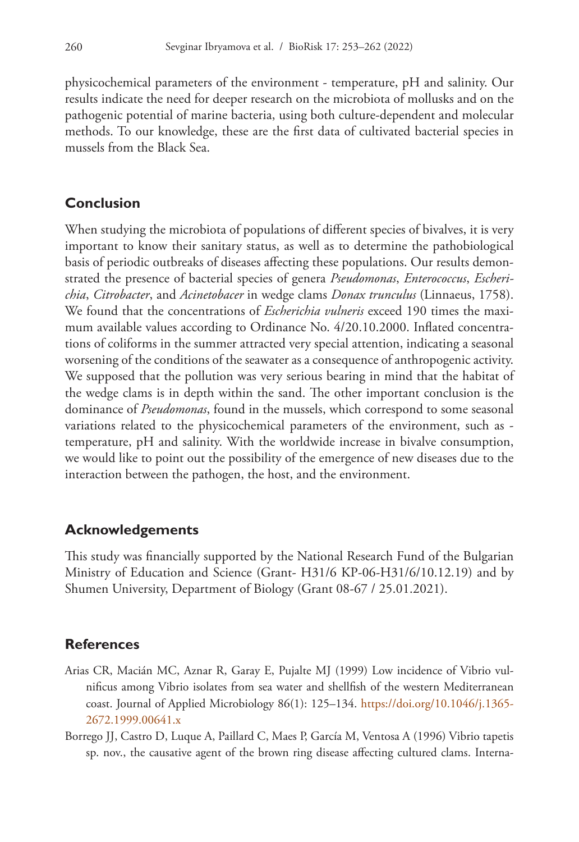physicochemical parameters of the environment - temperature, pH and salinity. Our results indicate the need for deeper research on the microbiota of mollusks and on the pathogenic potential of marine bacteria, using both culture-dependent and molecular methods. To our knowledge, these are the first data of cultivated bacterial species in mussels from the Black Sea.

## **Conclusion**

When studying the microbiota of populations of different species of bivalves, it is very important to know their sanitary status, as well as to determine the pathobiological basis of periodic outbreaks of diseases affecting these populations. Our results demonstrated the presence of bacterial species of genera *Pseudomonas*, *Enterococcus*, *Escherichia*, *Citrobacter*, and *Acinetobacer* in wedge clams *Donax trunculus* (Linnaeus, 1758). We found that the concentrations of *Escherichia vulneris* exceed 190 times the maximum available values according to Ordinance No. 4/20.10.2000. Inflated concentrations of coliforms in the summer attracted very special attention, indicating a seasonal worsening of the conditions of the seawater as a consequence of anthropogenic activity. We supposed that the pollution was very serious bearing in mind that the habitat of the wedge clams is in depth within the sand. The other important conclusion is the dominance of *Pseudomonas*, found in the mussels, which correspond to some seasonal variations related to the physicochemical parameters of the environment, such as temperature, pH and salinity. With the worldwide increase in bivalve consumption, we would like to point out the possibility of the emergence of new diseases due to the interaction between the pathogen, the host, and the environment.

## **Acknowledgements**

This study was financially supported by the National Research Fund of the Bulgarian Ministry of Education and Science (Grant- H31/6 KP-06-H31/6/10.12.19) and by Shumen University, Department of Biology (Grant 08-67 / 25.01.2021).

## **References**

- Arias CR, Macián MC, Aznar R, Garay E, Pujalte MJ (1999) Low incidence of Vibrio vulnificus among Vibrio isolates from sea water and shellfish of the western Mediterranean coast. Journal of Applied Microbiology 86(1): 125–134. [https://doi.org/10.1046/j.1365-](https://doi.org/10.1046/j.1365-2672.1999.00641.x) [2672.1999.00641.x](https://doi.org/10.1046/j.1365-2672.1999.00641.x)
- Borrego JJ, Castro D, Luque A, Paillard C, Maes P, García M, Ventosa A (1996) Vibrio tapetis sp. nov., the causative agent of the brown ring disease affecting cultured clams. Interna-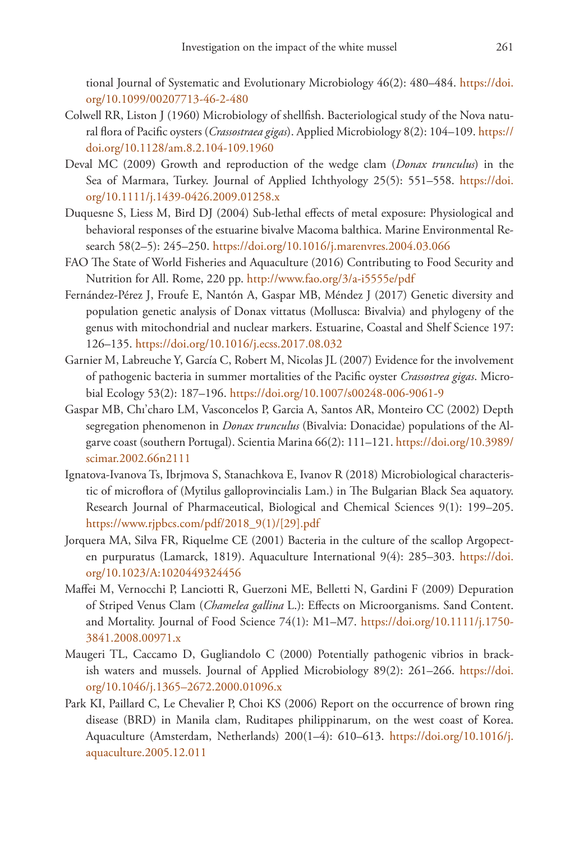tional Journal of Systematic and Evolutionary Microbiology 46(2): 480–484. [https://doi.](https://doi.org/10.1099/00207713-46-2-480) [org/10.1099/00207713-46-2-480](https://doi.org/10.1099/00207713-46-2-480)

- Colwell RR, Liston J (1960) Microbiology of shellfish. Bacteriological study of the Nova natural flora of Pacific oysters (*Crassostraea gigas*). Applied Microbiology 8(2): 104–109. [https://](https://doi.org/10.1128/am.8.2.104-109.1960) [doi.org/10.1128/am.8.2.104-109.1960](https://doi.org/10.1128/am.8.2.104-109.1960)
- Deval MC (2009) Growth and reproduction of the wedge clam (*Donax trunculus*) in the Sea of Marmara, Turkey. Journal of Applied Ichthyology 25(5): 551–558. [https://doi.](https://doi.org/10.1111/j.1439-0426.2009.01258.x) [org/10.1111/j.1439-0426.2009.01258.x](https://doi.org/10.1111/j.1439-0426.2009.01258.x)
- Duquesne S, Liess M, Bird DJ (2004) Sub-lethal effects of metal exposure: Physiological and behavioral responses of the estuarine bivalve Macoma balthica. Marine Environmental Research 58(2–5): 245–250. <https://doi.org/10.1016/j.marenvres.2004.03.066>
- FAO The State of World Fisheries and Aquaculture (2016) Contributing to Food Security and Nutrition for All. Rome, 220 pp. <http://www.fao.org/3/a-i5555e/pdf>
- Fernández-Pérez J, Froufe E, Nantón A, Gaspar MB, Méndez J (2017) Genetic diversity and population genetic analysis of Donax vittatus (Mollusca: Bivalvia) and phylogeny of the genus with mitochondrial and nuclear markers. Estuarine, Coastal and Shelf Science 197: 126–135.<https://doi.org/10.1016/j.ecss.2017.08.032>
- Garnier M, Labreuche Y, García C, Robert M, Nicolas JL (2007) Evidence for the involvement of pathogenic bacteria in summer mortalities of the Pacific oyster *Crassostrea gigas*. Microbial Ecology 53(2): 187–196. <https://doi.org/10.1007/s00248-006-9061-9>
- Gaspar MB, Chı'charo LM, Vasconcelos P, Garcia A, Santos AR, Monteiro CC (2002) Depth segregation phenomenon in *Donax trunculus* (Bivalvia: Donacidae) populations of the Algarve coast (southern Portugal). Scientia Marina 66(2): 111–121. [https://doi.org/10.3989/](https://doi.org/10.3989/scimar.2002.66n2111) [scimar.2002.66n2111](https://doi.org/10.3989/scimar.2002.66n2111)
- Ignatova-Ivanova Ts, Ibrjmova S, Stanachkova E, Ivanov R (2018) Microbiological characteristic of microflora of (Mytilus galloprovincialis Lam.) in The Bulgarian Black Sea aquatory. Research Journal of Pharmaceutical, Biological and Chemical Sciences 9(1): 199–205. [https://www.rjpbcs.com/pdf/2018\\_9\(1\)/\[29\].pdf](https://www.rjpbcs.com/pdf/2018_9(1)/%5B29%5D.pdf)
- Jorquera MA, Silva FR, Riquelme CE (2001) Bacteria in the culture of the scallop Argopecten purpuratus (Lamarck, 1819). Aquaculture International 9(4): 285–303. [https://doi.](https://doi.org/10.1023/A:1020449324456) [org/10.1023/A:1020449324456](https://doi.org/10.1023/A:1020449324456)
- Maffei M, Vernocchi P, Lanciotti R, Guerzoni ME, Belletti N, Gardini F (2009) Depuration of Striped Venus Clam (*Chamelea gallina* L.): Effects on Microorganisms. Sand Content. and Mortality. Journal of Food Science 74(1): M1–M7. [https://doi.org/10.1111/j.1750-](https://doi.org/10.1111/j.1750-3841.2008.00971.x) [3841.2008.00971.x](https://doi.org/10.1111/j.1750-3841.2008.00971.x)
- Maugeri TL, Caccamo D, Gugliandolo C (2000) Potentially pathogenic vibrios in brackish waters and mussels. Journal of Applied Microbiology 89(2): 261–266. [https://doi.](https://doi.org/10.1046/j.1365%E2%80%932672.2000.01096.x) [org/10.1046/j.1365–2672.2000.01096.x](https://doi.org/10.1046/j.1365%E2%80%932672.2000.01096.x)
- Park KI, Paillard C, Le Chevalier P, Choi KS (2006) Report on the occurrence of brown ring disease (BRD) in Manila clam, Ruditapes philippinarum, on the west coast of Korea. Aquaculture (Amsterdam, Netherlands) 200(1–4): 610–613. [https://doi.org/10.1016/j.](https://doi.org/10.1016/j.aquaculture.2005.12.011) [aquaculture.2005.12.011](https://doi.org/10.1016/j.aquaculture.2005.12.011)